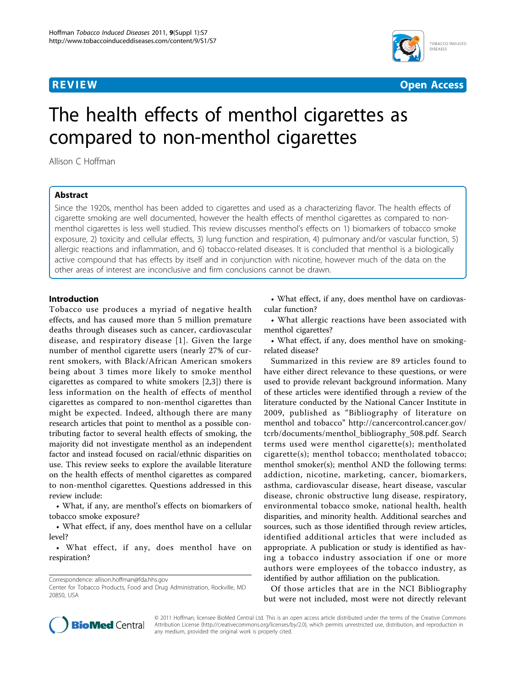

**REVIEW CONSULTANT CONSULTANT CONSULTANT CONSULTANT CONSULTANT CONSULTANT CONSULTANT CONSULTANT CONSULTANT CONSU** 

# The health effects of menthol cigarettes as compared to non-menthol cigarettes

Allison C Hoffman

# Abstract

Since the 1920s, menthol has been added to cigarettes and used as a characterizing flavor. The health effects of cigarette smoking are well documented, however the health effects of menthol cigarettes as compared to nonmenthol cigarettes is less well studied. This review discusses menthol's effects on 1) biomarkers of tobacco smoke exposure, 2) toxicity and cellular effects, 3) lung function and respiration, 4) pulmonary and/or vascular function, 5) allergic reactions and inflammation, and 6) tobacco-related diseases. It is concluded that menthol is a biologically active compound that has effects by itself and in conjunction with nicotine, however much of the data on the other areas of interest are inconclusive and firm conclusions cannot be drawn.

# Introduction

Tobacco use produces a myriad of negative health effects, and has caused more than 5 million premature deaths through diseases such as cancer, cardiovascular disease, and respiratory disease [[1](#page-6-0)]. Given the large number of menthol cigarette users (nearly 27% of current smokers, with Black/African American smokers being about 3 times more likely to smoke menthol cigarettes as compared to white smokers [[2,3\]](#page-6-0)) there is less information on the health of effects of menthol cigarettes as compared to non-menthol cigarettes than might be expected. Indeed, although there are many research articles that point to menthol as a possible contributing factor to several health effects of smoking, the majority did not investigate menthol as an independent factor and instead focused on racial/ethnic disparities on use. This review seeks to explore the available literature on the health effects of menthol cigarettes as compared to non-menthol cigarettes. Questions addressed in this review include:

• What, if any, are menthol's effects on biomarkers of tobacco smoke exposure?

• What effect, if any, does menthol have on a cellular level?

• What effect, if any, does menthol have on respiration?

Correspondence: [allison.hoffman@fda.hhs.gov](mailto:allison.hoffman@fda.hhs.gov)

Center for Tobacco Products, Food and Drug Administration, Rockville, MD 20850, USA

• What effect, if any, does menthol have on cardiovascular function?

• What allergic reactions have been associated with menthol cigarettes?

• What effect, if any, does menthol have on smokingrelated disease?

Summarized in this review are 89 articles found to have either direct relevance to these questions, or were used to provide relevant background information. Many of these articles were identified through a review of the literature conducted by the National Cancer Institute in 2009, published as "Bibliography of literature on menthol and tobacco" [http://cancercontrol.cancer.gov/](http://cancercontrol.cancer.gov/tcrb/documents/menthol_bibliography_508.pdf) [tcrb/documents/menthol\\_bibliography\\_508.pdf.](http://cancercontrol.cancer.gov/tcrb/documents/menthol_bibliography_508.pdf) Search terms used were menthol cigarette(s); mentholated cigarette(s); menthol tobacco; mentholated tobacco; menthol smoker(s); menthol AND the following terms: addiction, nicotine, marketing, cancer, biomarkers, asthma, cardiovascular disease, heart disease, vascular disease, chronic obstructive lung disease, respiratory, environmental tobacco smoke, national health, health disparities, and minority health. Additional searches and sources, such as those identified through review articles, identified additional articles that were included as appropriate. A publication or study is identified as having a tobacco industry association if one or more authors were employees of the tobacco industry, as identified by author affiliation on the publication.

Of those articles that are in the NCI Bibliography but were not included, most were not directly relevant



© 2011 Hoffman; licensee BioMed Central Ltd. This is an open access article distributed under the terms of the Creative Commons Attribution License [\(http://creativecommons.org/licenses/by/2.0](http://creativecommons.org/licenses/by/2.0)), which permits unrestricted use, distribution, and reproduction in any medium, provided the original work is properly cited.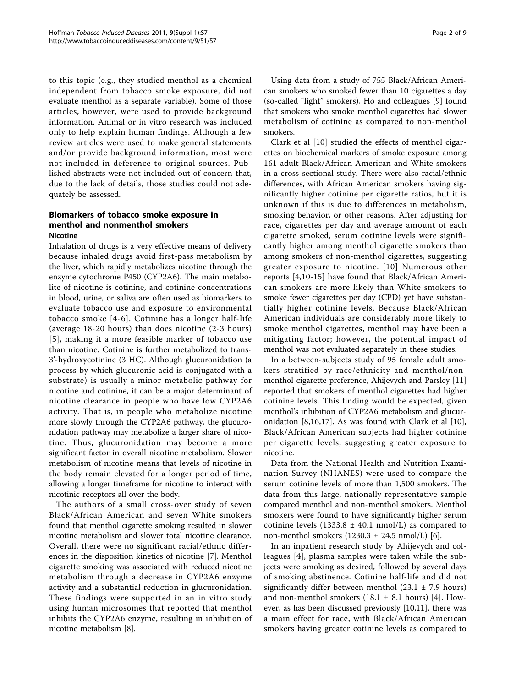to this topic (e.g., they studied menthol as a chemical independent from tobacco smoke exposure, did not evaluate menthol as a separate variable). Some of those articles, however, were used to provide background information. Animal or in vitro research was included only to help explain human findings. Although a few review articles were used to make general statements and/or provide background information, most were not included in deference to original sources. Published abstracts were not included out of concern that, due to the lack of details, those studies could not adequately be assessed.

# Biomarkers of tobacco smoke exposure in menthol and nonmenthol smokers Nicotine

Inhalation of drugs is a very effective means of delivery because inhaled drugs avoid first-pass metabolism by the liver, which rapidly metabolizes nicotine through the enzyme cytochrome P450 (CYP2A6). The main metabolite of nicotine is cotinine, and cotinine concentrations in blood, urine, or saliva are often used as biomarkers to evaluate tobacco use and exposure to environmental tobacco smoke [[4-6](#page-6-0)]. Cotinine has a longer half-life (average 18-20 hours) than does nicotine (2-3 hours) [[5](#page-6-0)], making it a more feasible marker of tobacco use than nicotine. Cotinine is further metabolized to trans-3'-hydroxycotinine (3 HC). Although glucuronidation (a process by which glucuronic acid is conjugated with a substrate) is usually a minor metabolic pathway for nicotine and cotinine, it can be a major determinant of nicotine clearance in people who have low CYP2A6 activity. That is, in people who metabolize nicotine more slowly through the CYP2A6 pathway, the glucuronidation pathway may metabolize a larger share of nicotine. Thus, glucuronidation may become a more significant factor in overall nicotine metabolism. Slower metabolism of nicotine means that levels of nicotine in the body remain elevated for a longer period of time, allowing a longer timeframe for nicotine to interact with nicotinic receptors all over the body.

The authors of a small cross-over study of seven Black/African American and seven White smokers found that menthol cigarette smoking resulted in slower nicotine metabolism and slower total nicotine clearance. Overall, there were no significant racial/ethnic differences in the disposition kinetics of nicotine [\[7](#page-6-0)]. Menthol cigarette smoking was associated with reduced nicotine metabolism through a decrease in CYP2A6 enzyme activity and a substantial reduction in glucuronidation. These findings were supported in an in vitro study using human microsomes that reported that menthol inhibits the CYP2A6 enzyme, resulting in inhibition of nicotine metabolism [\[8](#page-6-0)].

Using data from a study of 755 Black/African American smokers who smoked fewer than 10 cigarettes a day (so-called "light" smokers), Ho and colleagues [[9\]](#page-6-0) found that smokers who smoke menthol cigarettes had slower metabolism of cotinine as compared to non-menthol smokers.

Clark et al [[10\]](#page-6-0) studied the effects of menthol cigarettes on biochemical markers of smoke exposure among 161 adult Black/African American and White smokers in a cross-sectional study. There were also racial/ethnic differences, with African American smokers having significantly higher cotinine per cigarette ratios, but it is unknown if this is due to differences in metabolism, smoking behavior, or other reasons. After adjusting for race, cigarettes per day and average amount of each cigarette smoked, serum cotinine levels were significantly higher among menthol cigarette smokers than among smokers of non-menthol cigarettes, suggesting greater exposure to nicotine. [[10](#page-6-0)] Numerous other reports [[4,10](#page-6-0)-[15\]](#page-6-0) have found that Black/African American smokers are more likely than White smokers to smoke fewer cigarettes per day (CPD) yet have substantially higher cotinine levels. Because Black/African American individuals are considerably more likely to smoke menthol cigarettes, menthol may have been a mitigating factor; however, the potential impact of menthol was not evaluated separately in these studies.

In a between-subjects study of 95 female adult smokers stratified by race/ethnicity and menthol/nonmenthol cigarette preference, Ahijevych and Parsley [[11](#page-6-0)] reported that smokers of menthol cigarettes had higher cotinine levels. This finding would be expected, given menthol's inhibition of CYP2A6 metabolism and glucuronidation [\[8,16](#page-6-0),[17\]](#page-7-0). As was found with Clark et al [\[10](#page-6-0)], Black/African American subjects had higher cotinine per cigarette levels, suggesting greater exposure to nicotine.

Data from the National Health and Nutrition Examination Survey (NHANES) were used to compare the serum cotinine levels of more than 1,500 smokers. The data from this large, nationally representative sample compared menthol and non-menthol smokers. Menthol smokers were found to have significantly higher serum cotinine levels (1333.8  $\pm$  40.1 nmol/L) as compared to non-menthol smokers  $(1230.3 \pm 24.5 \text{ nmol/L})$  [[6\]](#page-6-0).

In an inpatient research study by Ahijevych and colleagues [\[4\]](#page-6-0), plasma samples were taken while the subjects were smoking as desired, followed by several days of smoking abstinence. Cotinine half-life and did not significantly differ between menthol (23.1  $\pm$  7.9 hours) and non-menthol smokers  $(18.1 \pm 8.1 \text{ hours})$  [\[4](#page-6-0)]. However, as has been discussed previously [[10](#page-6-0),[11](#page-6-0)], there was a main effect for race, with Black/African American smokers having greater cotinine levels as compared to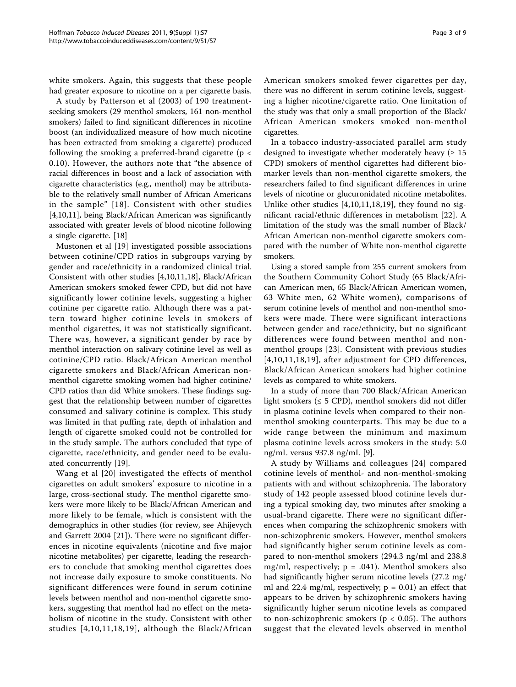white smokers. Again, this suggests that these people had greater exposure to nicotine on a per cigarette basis.

A study by Patterson et al (2003) of 190 treatmentseeking smokers (29 menthol smokers, 161 non-menthol smokers) failed to find significant differences in nicotine boost (an individualized measure of how much nicotine has been extracted from smoking a cigarette) produced following the smoking a preferred-brand cigarette ( $p <$ 0.10). However, the authors note that "the absence of racial differences in boost and a lack of association with cigarette characteristics (e.g., menthol) may be attributable to the relatively small number of African Americans in the sample" [\[18](#page-7-0)]. Consistent with other studies [[4,10,11](#page-6-0)], being Black/African American was significantly associated with greater levels of blood nicotine following a single cigarette. [\[18\]](#page-7-0)

Mustonen et al [\[19](#page-7-0)] investigated possible associations between cotinine/CPD ratios in subgroups varying by gender and race/ethnicity in a randomized clinical trial. Consistent with other studies [[4,10,11,](#page-6-0)[18\]](#page-7-0), Black/African American smokers smoked fewer CPD, but did not have significantly lower cotinine levels, suggesting a higher cotinine per cigarette ratio. Although there was a pattern toward higher cotinine levels in smokers of menthol cigarettes, it was not statistically significant. There was, however, a significant gender by race by menthol interaction on salivary cotinine level as well as cotinine/CPD ratio. Black/African American menthol cigarette smokers and Black/African American nonmenthol cigarette smoking women had higher cotinine/ CPD ratios than did White smokers. These findings suggest that the relationship between number of cigarettes consumed and salivary cotinine is complex. This study was limited in that puffing rate, depth of inhalation and length of cigarette smoked could not be controlled for in the study sample. The authors concluded that type of cigarette, race/ethnicity, and gender need to be evaluated concurrently [\[19\]](#page-7-0).

Wang et al [[20\]](#page-7-0) investigated the effects of menthol cigarettes on adult smokers' exposure to nicotine in a large, cross-sectional study. The menthol cigarette smokers were more likely to be Black/African American and more likely to be female, which is consistent with the demographics in other studies (for review, see Ahijevych and Garrett 2004 [\[21](#page-7-0)]). There were no significant differences in nicotine equivalents (nicotine and five major nicotine metabolites) per cigarette, leading the researchers to conclude that smoking menthol cigarettes does not increase daily exposure to smoke constituents. No significant differences were found in serum cotinine levels between menthol and non-menthol cigarette smokers, suggesting that menthol had no effect on the metabolism of nicotine in the study. Consistent with other studies [[4,10](#page-6-0),[11](#page-6-0),[18,19](#page-7-0)], although the Black/African American smokers smoked fewer cigarettes per day, there was no different in serum cotinine levels, suggesting a higher nicotine/cigarette ratio. One limitation of the study was that only a small proportion of the Black/ African American smokers smoked non-menthol cigarettes.

In a tobacco industry-associated parallel arm study designed to investigate whether moderately heavy  $(≥ 15$ CPD) smokers of menthol cigarettes had different biomarker levels than non-menthol cigarette smokers, the researchers failed to find significant differences in urine levels of nicotine or glucuronidated nicotine metabolites. Unlike other studies [\[4](#page-6-0),[10,11,](#page-6-0)[18,19](#page-7-0)], they found no significant racial/ethnic differences in metabolism [[22\]](#page-7-0). A limitation of the study was the small number of Black/ African American non-menthol cigarette smokers compared with the number of White non-menthol cigarette smokers.

Using a stored sample from 255 current smokers from the Southern Community Cohort Study (65 Black/African American men, 65 Black/African American women, 63 White men, 62 White women), comparisons of serum cotinine levels of menthol and non-menthol smokers were made. There were significant interactions between gender and race/ethnicity, but no significant differences were found between menthol and nonmenthol groups [\[23\]](#page-7-0). Consistent with previous studies [[4](#page-6-0),[10](#page-6-0),[11](#page-6-0)[,18,19\]](#page-7-0), after adjustment for CPD differences, Black/African American smokers had higher cotinine levels as compared to white smokers.

In a study of more than 700 Black/African American light smokers ( $\leq$  5 CPD), menthol smokers did not differ in plasma cotinine levels when compared to their nonmenthol smoking counterparts. This may be due to a wide range between the minimum and maximum plasma cotinine levels across smokers in the study: 5.0 ng/mL versus 937.8 ng/mL [\[9](#page-6-0)].

A study by Williams and colleagues [[24\]](#page-7-0) compared cotinine levels of menthol- and non-menthol-smoking patients with and without schizophrenia. The laboratory study of 142 people assessed blood cotinine levels during a typical smoking day, two minutes after smoking a usual-brand cigarette. There were no significant differences when comparing the schizophrenic smokers with non-schizophrenic smokers. However, menthol smokers had significantly higher serum cotinine levels as compared to non-menthol smokers (294.3 ng/ml and 238.8 mg/ml, respectively;  $p = .041$ ). Menthol smokers also had significantly higher serum nicotine levels (27.2 mg/ ml and 22.4 mg/ml, respectively;  $p = 0.01$ ) an effect that appears to be driven by schizophrenic smokers having significantly higher serum nicotine levels as compared to non-schizophrenic smokers ( $p < 0.05$ ). The authors suggest that the elevated levels observed in menthol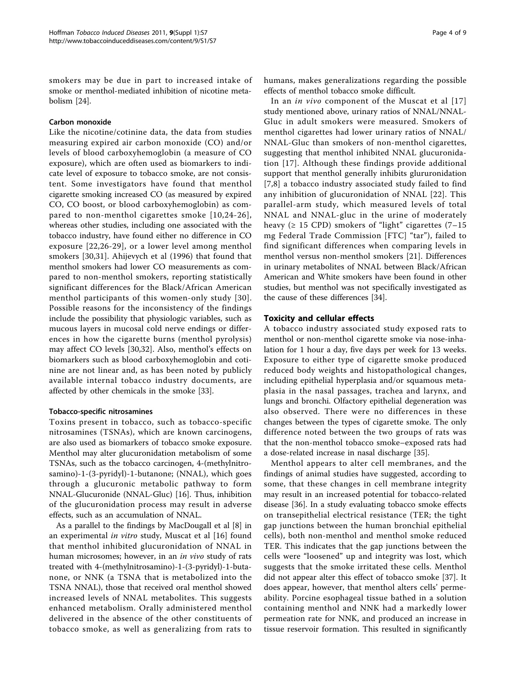smokers may be due in part to increased intake of smoke or menthol-mediated inhibition of nicotine metabolism [\[24](#page-7-0)].

## Carbon monoxide

Like the nicotine/cotinine data, the data from studies measuring expired air carbon monoxide (CO) and/or levels of blood carboxyhemoglobin (a measure of CO exposure), which are often used as biomarkers to indicate level of exposure to tobacco smoke, are not consistent. Some investigators have found that menthol cigarette smoking increased CO (as measured by expired CO, CO boost, or blood carboxyhemoglobin) as compared to non-menthol cigarettes smoke [[10,](#page-6-0)[24-26\]](#page-7-0), whereas other studies, including one associated with the tobacco industry, have found either no difference in CO exposure [[22](#page-7-0),[26-29](#page-7-0)], or a lower level among menthol smokers [[30,31](#page-7-0)]. Ahijevych et al (1996) that found that menthol smokers had lower CO measurements as compared to non-menthol smokers, reporting statistically significant differences for the Black/African American menthol participants of this women-only study [[30\]](#page-7-0). Possible reasons for the inconsistency of the findings include the possibility that physiologic variables, such as mucous layers in mucosal cold nerve endings or differences in how the cigarette burns (menthol pyrolysis) may affect CO levels [[30](#page-7-0),[32\]](#page-7-0). Also, menthol's effects on biomarkers such as blood carboxyhemoglobin and cotinine are not linear and, as has been noted by publicly available internal tobacco industry documents, are affected by other chemicals in the smoke [[33\]](#page-7-0).

#### Tobacco-specific nitrosamines

Toxins present in tobacco, such as tobacco-specific nitrosamines (TSNAs), which are known carcinogens, are also used as biomarkers of tobacco smoke exposure. Menthol may alter glucuronidation metabolism of some TSNAs, such as the tobacco carcinogen, 4-(methylnitrosamino)-1-(3-pyridyl)-1-butanone; (NNAL), which goes through a glucuronic metabolic pathway to form NNAL-Glucuronide (NNAL-Gluc) [[16\]](#page-6-0). Thus, inhibition of the glucuronidation process may result in adverse effects, such as an accumulation of NNAL.

As a parallel to the findings by MacDougall et al [\[8](#page-6-0)] in an experimental in vitro study, Muscat et al [[16\]](#page-6-0) found that menthol inhibited glucuronidation of NNAL in human microsomes; however, in an in vivo study of rats treated with 4-(methylnitrosamino)-1-(3-pyridyl)-1-butanone, or NNK (a TSNA that is metabolized into the TSNA NNAL), those that received oral menthol showed increased levels of NNAL metabolites. This suggests enhanced metabolism. Orally administered menthol delivered in the absence of the other constituents of tobacco smoke, as well as generalizing from rats to humans, makes generalizations regarding the possible effects of menthol tobacco smoke difficult.

In an *in vivo* component of the Muscat et al  $[17]$  $[17]$  $[17]$ study mentioned above, urinary ratios of NNAL/NNAL-Gluc in adult smokers were measured. Smokers of menthol cigarettes had lower urinary ratios of NNAL/ NNAL-Gluc than smokers of non-menthol cigarettes, suggesting that menthol inhibited NNAL glucuronidation [\[17\]](#page-7-0). Although these findings provide additional support that menthol generally inhibits glururonidation [[7,8\]](#page-6-0) a tobacco industry associated study failed to find any inhibition of glucuronidation of NNAL [[22](#page-7-0)]. This parallel-arm study, which measured levels of total NNAL and NNAL-gluc in the urine of moderately heavy ( $\geq$  15 CPD) smokers of "light" cigarettes (7–15 mg Federal Trade Commission [FTC] "tar"), failed to find significant differences when comparing levels in menthol versus non-menthol smokers [\[21\]](#page-7-0). Differences in urinary metabolites of NNAL between Black/African American and White smokers have been found in other studies, but menthol was not specifically investigated as the cause of these differences [[34](#page-7-0)].

#### Toxicity and cellular effects

A tobacco industry associated study exposed rats to menthol or non-menthol cigarette smoke via nose-inhalation for 1 hour a day, five days per week for 13 weeks. Exposure to either type of cigarette smoke produced reduced body weights and histopathological changes, including epithelial hyperplasia and/or squamous metaplasia in the nasal passages, trachea and larynx, and lungs and bronchi. Olfactory epithelial degeneration was also observed. There were no differences in these changes between the types of cigarette smoke. The only difference noted between the two groups of rats was that the non-menthol tobacco smoke–exposed rats had a dose-related increase in nasal discharge [[35\]](#page-7-0).

Menthol appears to alter cell membranes, and the findings of animal studies have suggested, according to some, that these changes in cell membrane integrity may result in an increased potential for tobacco-related disease [[36\]](#page-7-0). In a study evaluating tobacco smoke effects on transepithelial electrical resistance (TER; the tight gap junctions between the human bronchial epithelial cells), both non-menthol and menthol smoke reduced TER. This indicates that the gap junctions between the cells were "loosened" up and integrity was lost, which suggests that the smoke irritated these cells. Menthol did not appear alter this effect of tobacco smoke [[37](#page-7-0)]. It does appear, however, that menthol alters cells' permeability. Porcine esophageal tissue bathed in a solution containing menthol and NNK had a markedly lower permeation rate for NNK, and produced an increase in tissue reservoir formation. This resulted in significantly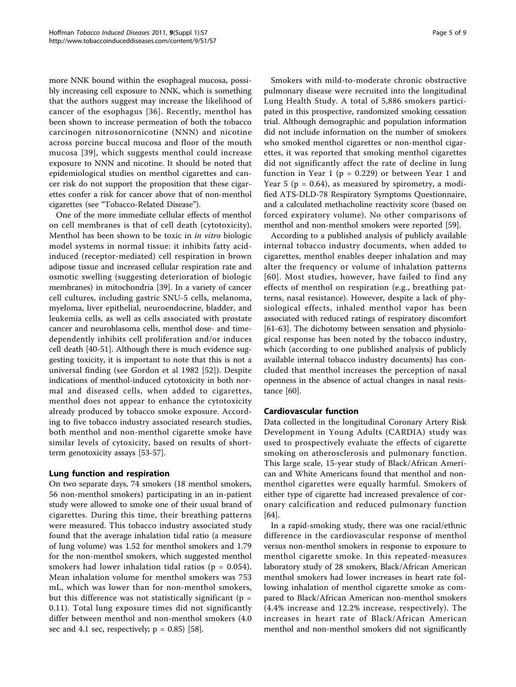more NNK bound within the esophageal mucosa, possibly increasing cell exposure to NNK, which is something that the authors suggest may increase the likelihood of cancer of the esophagus [[36](#page-7-0)]. Recently, menthol has been shown to increase permeation of both the tobacco carcinogen nitrosonornicotine (NNN) and nicotine across porcine buccal mucosa and floor of the mouth mucosa [[39\]](#page-7-0), which suggests menthol could increase exposure to NNN and nicotine. It should be noted that epidemiological studies on menthol cigarettes and cancer risk do not support the proposition that these cigarettes confer a risk for cancer above that of non-menthol cigarettes (see "Tobacco-Related Disease").

One of the more immediate cellular effects of menthol on cell membranes is that of cell death (cytotoxicity). Menthol has been shown to be toxic in in vitro biologic model systems in normal tissue: it inhibits fatty acidinduced (receptor-mediated) cell respiration in brown adipose tissue and increased cellular respiration rate and osmotic swelling (suggesting deterioration of biologic membranes) in mitochondria [[39\]](#page-7-0). In a variety of cancer cell cultures, including gastric SNU-5 cells, melanoma, myeloma, liver epithelial, neuroendocrine, bladder, and leukemia cells, as well as cells associated with prostate cancer and neuroblasoma cells, menthol dose- and timedependently inhibits cell proliferation and/or induces cell death [\[40](#page-7-0)-[51](#page-7-0)]. Although there is much evidence suggesting toxicity, it is important to note that this is not a universal finding (see Gordon et al 1982 [\[52\]](#page-7-0)). Despite indications of menthol-induced cytotoxicity in both normal and diseased cells, when added to cigarettes, menthol does not appear to enhance the cytotoxicity already produced by tobacco smoke exposure. According to five tobacco industry associated research studies, both menthol and non-menthol cigarette smoke have similar levels of cytoxicity, based on results of shortterm genotoxicity assays [[53-57\]](#page-7-0).

# Lung function and respiration

On two separate days, 74 smokers (18 menthol smokers, 56 non-menthol smokers) participating in an in-patient study were allowed to smoke one of their usual brand of cigarettes. During this time, their breathing patterns were measured. This tobacco industry associated study found that the average inhalation tidal ratio (a measure of lung volume) was 1.52 for menthol smokers and 1.79 for the non-menthol smokers, which suggested menthol smokers had lower inhalation tidal ratios ( $p = 0.054$ ). Mean inhalation volume for menthol smokers was 753 mL, which was lower than for non-menthol smokers, but this difference was not statistically significant ( $p =$ 0.11). Total lung exposure times did not significantly differ between menthol and non-menthol smokers (4.0 sec and 4.1 sec, respectively;  $p = 0.85$  [\[58\]](#page-7-0).

Smokers with mild-to-moderate chronic obstructive pulmonary disease were recruited into the longitudinal Lung Health Study. A total of 5,886 smokers participated in this prospective, randomized smoking cessation trial. Although demographic and population information did not include information on the number of smokers who smoked menthol cigarettes or non-menthol cigarettes, it was reported that smoking menthol cigarettes did not significantly affect the rate of decline in lung function in Year 1 ( $p = 0.229$ ) or between Year 1 and Year 5 ( $p = 0.64$ ), as measured by spirometry, a modified ATS-DLD-78 Respiratory Symptoms Questionnaire, and a calculated methacholine reactivity score (based on forced expiratory volume). No other comparisons of menthol and non-menthol smokers were reported [\[59](#page-7-0)].

According to a published analysis of publicly available internal tobacco industry documents, when added to cigarettes, menthol enables deeper inhalation and may alter the frequency or volume of inhalation patterns [[60](#page-7-0)]. Most studies, however, have failed to find any effects of menthol on respiration (e.g., breathing patterns, nasal resistance). However, despite a lack of physiological effects, inhaled menthol vapor has been associated with reduced ratings of respiratory discomfort [[61-63\]](#page-7-0). The dichotomy between sensation and physiological response has been noted by the tobacco industry, which (according to one published analysis of publicly available internal tobacco industry documents) has concluded that menthol increases the perception of nasal openness in the absence of actual changes in nasal resistance [[60\]](#page-7-0).

### Cardiovascular function

Data collected in the longitudinal Coronary Artery Risk Development in Young Adults (CARDIA) study was used to prospectively evaluate the effects of cigarette smoking on atherosclerosis and pulmonary function. This large scale, 15-year study of Black/African American and White Americans found that menthol and nonmenthol cigarettes were equally harmful. Smokers of either type of cigarette had increased prevalence of coronary calcification and reduced pulmonary function [[64\]](#page-7-0).

In a rapid-smoking study, there was one racial/ethnic difference in the cardiovascular response of menthol versus non-menthol smokers in response to exposure to menthol cigarette smoke. In this repeated-measures laboratory study of 28 smokers, Black/African American menthol smokers had lower increases in heart rate following inhalation of menthol cigarette smoke as compared to Black/African American non-menthol smokers (4.4% increase and 12.2% increase, respectively). The increases in heart rate of Black/African American menthol and non-menthol smokers did not significantly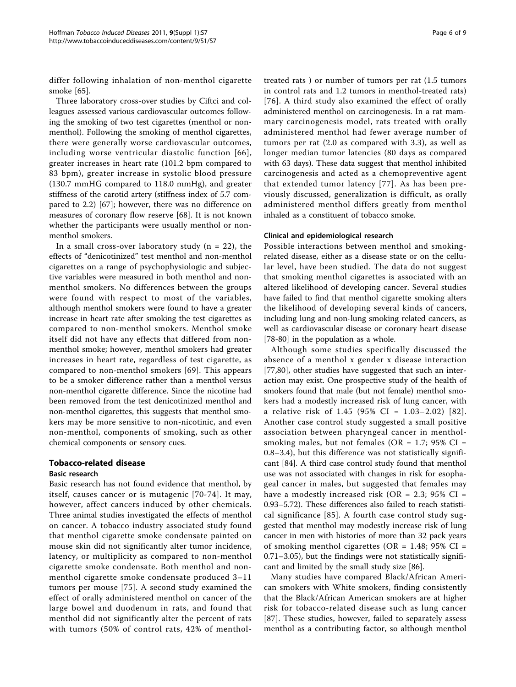differ following inhalation of non-menthol cigarette smoke [\[65](#page-8-0)].

Three laboratory cross-over studies by Ciftci and colleagues assessed various cardiovascular outcomes following the smoking of two test cigarettes (menthol or nonmenthol). Following the smoking of menthol cigarettes, there were generally worse cardiovascular outcomes, including worse ventricular diastolic function [[66\]](#page-8-0), greater increases in heart rate (101.2 bpm compared to 83 bpm), greater increase in systolic blood pressure (130.7 mmHG compared to 118.0 mmHg), and greater stiffness of the carotid artery (stiffness index of 5.7 compared to 2.2) [[67\]](#page-8-0); however, there was no difference on measures of coronary flow reserve [[68\]](#page-8-0). It is not known whether the participants were usually menthol or nonmenthol smokers.

In a small cross-over laboratory study  $(n = 22)$ , the effects of "denicotinized" test menthol and non-menthol cigarettes on a range of psychophysiologic and subjective variables were measured in both menthol and nonmenthol smokers. No differences between the groups were found with respect to most of the variables, although menthol smokers were found to have a greater increase in heart rate after smoking the test cigarettes as compared to non-menthol smokers. Menthol smoke itself did not have any effects that differed from nonmenthol smoke; however, menthol smokers had greater increases in heart rate, regardless of test cigarette, as compared to non-menthol smokers [\[69](#page-8-0)]. This appears to be a smoker difference rather than a menthol versus non-menthol cigarette difference. Since the nicotine had been removed from the test denicotinized menthol and non-menthol cigarettes, this suggests that menthol smokers may be more sensitive to non-nicotinic, and even non-menthol, components of smoking, such as other chemical components or sensory cues.

# Tobacco-related disease

### Basic research

Basic research has not found evidence that menthol, by itself, causes cancer or is mutagenic [[70-74\]](#page-8-0). It may, however, affect cancers induced by other chemicals. Three animal studies investigated the effects of menthol on cancer. A tobacco industry associated study found that menthol cigarette smoke condensate painted on mouse skin did not significantly alter tumor incidence, latency, or multiplicity as compared to non-menthol cigarette smoke condensate. Both menthol and nonmenthol cigarette smoke condensate produced 3–11 tumors per mouse [[75](#page-8-0)]. A second study examined the effect of orally administered menthol on cancer of the large bowel and duodenum in rats, and found that menthol did not significantly alter the percent of rats with tumors (50% of control rats, 42% of menthol-

treated rats ) or number of tumors per rat (1.5 tumors in control rats and 1.2 tumors in menthol-treated rats) [[76\]](#page-8-0). A third study also examined the effect of orally administered menthol on carcinogenesis. In a rat mammary carcinogenesis model, rats treated with orally administered menthol had fewer average number of tumors per rat (2.0 as compared with 3.3), as well as longer median tumor latencies (80 days as compared with 63 days). These data suggest that menthol inhibited carcinogenesis and acted as a chemopreventive agent that extended tumor latency [[77\]](#page-8-0). As has been previously discussed, generalization is difficult, as orally administered menthol differs greatly from menthol inhaled as a constituent of tobacco smoke.

#### Clinical and epidemiological research

Possible interactions between menthol and smokingrelated disease, either as a disease state or on the cellular level, have been studied. The data do not suggest that smoking menthol cigarettes is associated with an altered likelihood of developing cancer. Several studies have failed to find that menthol cigarette smoking alters the likelihood of developing several kinds of cancers, including lung and non-lung smoking related cancers, as well as cardiovascular disease or coronary heart disease [[78-80\]](#page-8-0) in the population as a whole.

Although some studies specifically discussed the absence of a menthol x gender x disease interaction [[77,80\]](#page-8-0), other studies have suggested that such an interaction may exist. One prospective study of the health of smokers found that male (but not female) menthol smokers had a modestly increased risk of lung cancer, with a relative risk of 1.45 (95% CI = 1.03–2.02) [[82\]](#page-8-0). Another case control study suggested a small positive association between pharyngeal cancer in mentholsmoking males, but not females (OR = 1.7; 95% CI = 0.8–3.4), but this difference was not statistically significant [\[84](#page-8-0)]. A third case control study found that menthol use was not associated with changes in risk for esophageal cancer in males, but suggested that females may have a modestly increased risk (OR =  $2.3$ ; 95% CI = 0.93–5.72). These differences also failed to reach statistical significance [\[85\]](#page-8-0). A fourth case control study suggested that menthol may modestly increase risk of lung cancer in men with histories of more than 32 pack years of smoking menthol cigarettes (OR =  $1.48$ ; 95% CI = 0.71–3.05), but the findings were not statistically significant and limited by the small study size [[86\]](#page-8-0).

Many studies have compared Black/African American smokers with White smokers, finding consistently that the Black/African American smokers are at higher risk for tobacco-related disease such as lung cancer [[87](#page-8-0)]. These studies, however, failed to separately assess menthol as a contributing factor, so although menthol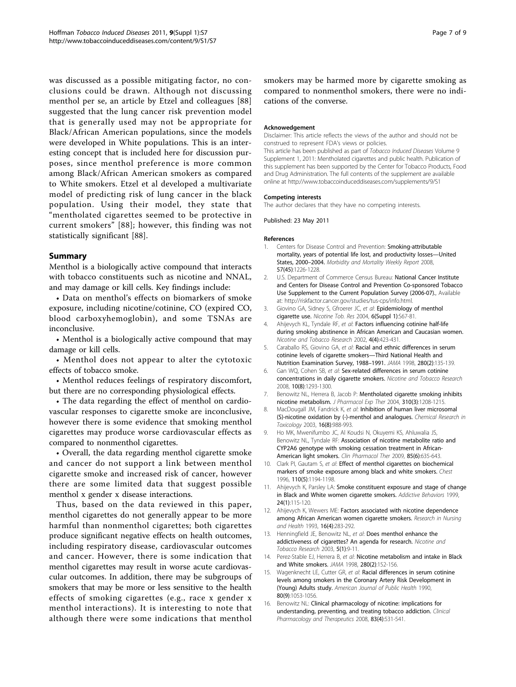<span id="page-6-0"></span>was discussed as a possible mitigating factor, no conclusions could be drawn. Although not discussing menthol per se, an article by Etzel and colleagues [\[88](#page-8-0)] suggested that the lung cancer risk prevention model that is generally used may not be appropriate for Black/African American populations, since the models were developed in White populations. This is an interesting concept that is included here for discussion purposes, since menthol preference is more common among Black/African American smokers as compared to White smokers. Etzel et al developed a multivariate model of predicting risk of lung cancer in the black population. Using their model, they state that "mentholated cigarettes seemed to be protective in current smokers" [[88](#page-8-0)]; however, this finding was not statistically significant [\[88](#page-8-0)].

# Summary

Menthol is a biologically active compound that interacts with tobacco constituents such as nicotine and NNAL, and may damage or kill cells. Key findings include:

• Data on menthol's effects on biomarkers of smoke exposure, including nicotine/cotinine, CO (expired CO, blood carboxyhemoglobin), and some TSNAs are inconclusive.

• Menthol is a biologically active compound that may damage or kill cells.

• Menthol does not appear to alter the cytotoxic effects of tobacco smoke.

• Menthol reduces feelings of respiratory discomfort, but there are no corresponding physiological effects.

• The data regarding the effect of menthol on cardiovascular responses to cigarette smoke are inconclusive, however there is some evidence that smoking menthol cigarettes may produce worse cardiovascular effects as compared to nonmenthol cigarettes.

• Overall, the data regarding menthol cigarette smoke and cancer do not support a link between menthol cigarette smoke and increased risk of cancer, however there are some limited data that suggest possible menthol x gender x disease interactions.

Thus, based on the data reviewed in this paper, menthol cigarettes do not generally appear to be more harmful than nonmenthol cigarettes; both cigarettes produce significant negative effects on health outcomes, including respiratory disease, cardiovascular outcomes and cancer. However, there is some indication that menthol cigarettes may result in worse acute cardiovascular outcomes. In addition, there may be subgroups of smokers that may be more or less sensitive to the health effects of smoking cigarettes (e.g., race x gender x menthol interactions). It is interesting to note that although there were some indications that menthol

smokers may be harmed more by cigarette smoking as compared to nonmenthol smokers, there were no indications of the converse.

#### Acknowedgement

Disclaimer: This article reflects the views of the author and should not be construed to represent FDA's views or policies.

This article has been published as part of Tobacco Induced Diseases Volume 9 Supplement 1, 2011: Mentholated cigarettes and public health. Publication of this supplement has been supported by the Center for Tobacco Products, Food and Drug Administration. The full contents of the supplement are available online at<http://www.tobaccoinduceddiseases.com/supplements/9/S1>

#### Competing interests

The author declares that they have no competing interests.

Published: 23 May 2011

#### References

- 1. Centers for Disease Control and Prevention: [Smoking-attributable](http://www.ncbi.nlm.nih.gov/pubmed/19008791?dopt=Abstract) [mortality, years of potential life lost, and productivity losses](http://www.ncbi.nlm.nih.gov/pubmed/19008791?dopt=Abstract)—United [States, 2000](http://www.ncbi.nlm.nih.gov/pubmed/19008791?dopt=Abstract)-2004. Morbidity and Mortality Weekly Report 2008, 57(45):1226-1228.
- 2. U.S. Department of Commerce Census Bureau: National Cancer Institute and Centers for Disease Control and Prevention Co-sponsored Tobacco Use Supplement to the Current Population Survey (2006-07)., Available at: http://riskfactor.cancer.gov/studies/tus-cps/info.html.
- 3. Giovino GA, Sidney S, Gfroerer JC, et al: [Epidemiology of menthol](http://www.ncbi.nlm.nih.gov/pubmed/14982710?dopt=Abstract) [cigarette use.](http://www.ncbi.nlm.nih.gov/pubmed/14982710?dopt=Abstract) Nicotine Tob. Res 2004, 6(Suppl 1):S67-81.
- 4. Ahijevych KL, Tyndale RF, et al: [Factors influencing cotinine half-life](http://www.ncbi.nlm.nih.gov/pubmed/12521401?dopt=Abstract) [during smoking abstinence in African American and Caucasian women.](http://www.ncbi.nlm.nih.gov/pubmed/12521401?dopt=Abstract) Nicotine and Tobacco Research 2002, 4(4):423-431.
- 5. Caraballo RS, Giovino GA, et al: [Racial and ethnic differences in serum](http://www.ncbi.nlm.nih.gov/pubmed/9669785?dopt=Abstract) [cotinine levels of cigarette smokers](http://www.ncbi.nlm.nih.gov/pubmed/9669785?dopt=Abstract)—Third National Health and [Nutrition Examination Survey, 1988](http://www.ncbi.nlm.nih.gov/pubmed/9669785?dopt=Abstract)–1991. JAMA 1998, 280(2):135-139.
- 6. Gan WQ, Cohen SB, et al: [Sex-related differences in serum cotinine](http://www.ncbi.nlm.nih.gov/pubmed/18686176?dopt=Abstract) [concentrations in daily cigarette smokers.](http://www.ncbi.nlm.nih.gov/pubmed/18686176?dopt=Abstract) Nicotine and Tobacco Research 2008, 10(8):1293-1300.
- 7. Benowitz NL, Herrera B, Jacob P: [Mentholated cigarette smoking inhibits](http://www.ncbi.nlm.nih.gov/pubmed/15084646?dopt=Abstract) [nicotine metabolism.](http://www.ncbi.nlm.nih.gov/pubmed/15084646?dopt=Abstract) J Pharmacol Exp Ther 2004, 310(3):1208-1215.
- 8. MacDougall JM, Fandrick K, et al: [Inhibition of human liver microsomal](http://www.ncbi.nlm.nih.gov/pubmed/12924926?dopt=Abstract) [\(S\)-nicotine oxidation by \(-\)-menthol and analogues.](http://www.ncbi.nlm.nih.gov/pubmed/12924926?dopt=Abstract) Chemical Research in Toxicology 2003, 16(8):988-993.
- 9. Ho MK, Mwenifumbo JC, Al Koudsi N, Okuyemi KS, Ahluwalia JS, Benowitz NL, Tyndale RF: [Association of nicotine metabolite ratio and](http://www.ncbi.nlm.nih.gov/pubmed/19279561?dopt=Abstract) [CYP2A6 genotype with smoking cessation treatment in African-](http://www.ncbi.nlm.nih.gov/pubmed/19279561?dopt=Abstract)[American light smokers.](http://www.ncbi.nlm.nih.gov/pubmed/19279561?dopt=Abstract) Clin Pharmacol Ther 2009, 85(6):635-643.
- 10. Clark PI, Gautam S, et al: [Effect of menthol cigarettes on biochemical](http://www.ncbi.nlm.nih.gov/pubmed/8915220?dopt=Abstract) [markers of smoke exposure among black and white smokers.](http://www.ncbi.nlm.nih.gov/pubmed/8915220?dopt=Abstract) Chest 1996, 110(5):1194-1198.
- 11. Ahijevych K, Parsley LA: [Smoke constituent exposure and stage of change](http://www.ncbi.nlm.nih.gov/pubmed/10189978?dopt=Abstract) [in Black and White women cigarette smokers.](http://www.ncbi.nlm.nih.gov/pubmed/10189978?dopt=Abstract) Addictive Behaviors 1999, 24(1):115-120.
- 12. Ahijevych K, Wewers ME: [Factors associated with nicotine dependence](http://www.ncbi.nlm.nih.gov/pubmed/8378558?dopt=Abstract) [among African American women cigarette smokers.](http://www.ncbi.nlm.nih.gov/pubmed/8378558?dopt=Abstract) Research in Nursing and Health 1993, 16(4):283-292.
- 13. Henningfield JE, Benowitz NL, et al: [Does menthol enhance the](http://www.ncbi.nlm.nih.gov/pubmed/12745502?dopt=Abstract) [addictiveness of cigarettes? An agenda for research.](http://www.ncbi.nlm.nih.gov/pubmed/12745502?dopt=Abstract) Nicotine and Tobacco Research 2003, 5(1):9-11.
- 14. Perez-Stable EJ, Herrera B, et al: [Nicotine metabolism and intake in Black](http://www.ncbi.nlm.nih.gov/pubmed/9669788?dopt=Abstract) [and White smokers.](http://www.ncbi.nlm.nih.gov/pubmed/9669788?dopt=Abstract) JAMA 1998, 280(2):152-156.
- 15. Wagenknecht LE, Cutter GR, et al: [Racial differences in serum cotinine](http://www.ncbi.nlm.nih.gov/pubmed/2382740?dopt=Abstract) [levels among smokers in the Coronary Artery Risk Development in](http://www.ncbi.nlm.nih.gov/pubmed/2382740?dopt=Abstract) [\(Young\) Adults study.](http://www.ncbi.nlm.nih.gov/pubmed/2382740?dopt=Abstract) American Journal of Public Health 1990, 80(9):1053-1056.
- 16. Benowitz NL: [Clinical pharmacology of nicotine: implications for](http://www.ncbi.nlm.nih.gov/pubmed/18305452?dopt=Abstract) [understanding, preventing, and treating tobacco addiction.](http://www.ncbi.nlm.nih.gov/pubmed/18305452?dopt=Abstract) Clinical Pharmacology and Therapeutics 2008, 83(4):531-541.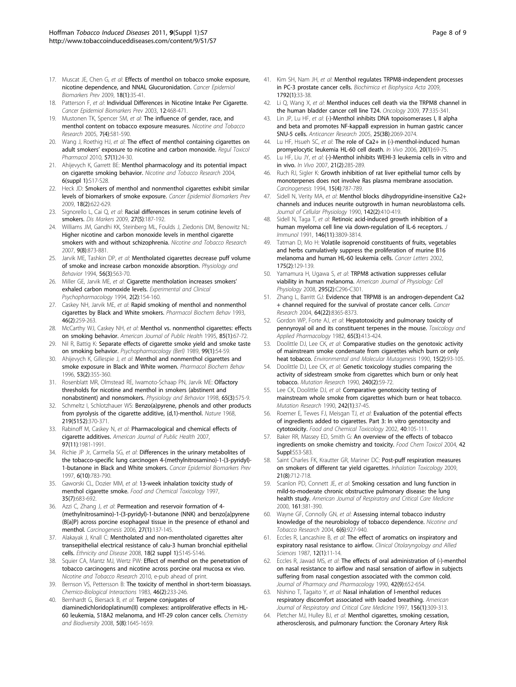- <span id="page-7-0"></span>17. Muscat JE, Chen G, et al: [Effects of menthol on tobacco smoke exposure,](http://www.ncbi.nlm.nih.gov/pubmed/19124478?dopt=Abstract) [nicotine dependence, and NNAL Glucuronidation.](http://www.ncbi.nlm.nih.gov/pubmed/19124478?dopt=Abstract) Cancer Epidemiol Biomarkers Prev 2009, 18(1):35-41.
- 18. Patterson F, et al: [Individual Differences in Nicotine Intake Per Cigarette.](http://www.ncbi.nlm.nih.gov/pubmed/12750245?dopt=Abstract) Cancer Epidemiol Biomarkers Prev 2003, 12:468-471.
- 19. Mustonen TK, Spencer SM, et al: [The influence of gender, race, and](http://www.ncbi.nlm.nih.gov/pubmed/16085529?dopt=Abstract) [menthol content on tobacco exposure measures.](http://www.ncbi.nlm.nih.gov/pubmed/16085529?dopt=Abstract) Nicotine and Tobacco Research 2005, 7(4):581-590.
- 20. Wang J, Roethig HJ, et al: [The effect of menthol containing cigarettes on](http://www.ncbi.nlm.nih.gov/pubmed/20025920?dopt=Abstract) adult smokers' [exposure to nicotine and carbon monoxide.](http://www.ncbi.nlm.nih.gov/pubmed/20025920?dopt=Abstract) Regul Toxicol Pharmacol 2010, 57(1):24-30.
- 21. Ahijevych K, Garrett BE: [Menthol pharmacology and its potential impact](http://www.ncbi.nlm.nih.gov/pubmed/14982706?dopt=Abstract) [on cigarette smoking behavior.](http://www.ncbi.nlm.nih.gov/pubmed/14982706?dopt=Abstract) Nicotine and Tobacco Research 2004, 6(suppl 1):S17-S28.
- 22. Heck JD: [Smokers of menthol and nonmenthol cigarettes exhibit similar](http://www.ncbi.nlm.nih.gov/pubmed/19190153?dopt=Abstract) [levels of biomarkers of smoke exposure.](http://www.ncbi.nlm.nih.gov/pubmed/19190153?dopt=Abstract) Cancer Epidemiol Biomarkers Prev 2009, 18(2):622-629.
- 23. Signorello L, Cai Q, et al: [Racial differences in serum cotinine levels of](http://www.ncbi.nlm.nih.gov/pubmed/20037205?dopt=Abstract) [smokers.](http://www.ncbi.nlm.nih.gov/pubmed/20037205?dopt=Abstract) Dis Markers 2009, 27(5):187-192.
- 24. Williams JM, Gandhi KK, Steinberg ML, Foulds J, Ziedonis DM, Benowitz NL: [Higher nicotine and carbon monoxide levels in menthol cigarette](http://www.ncbi.nlm.nih.gov/pubmed/17654300?dopt=Abstract) [smokers with and without schizophrenia.](http://www.ncbi.nlm.nih.gov/pubmed/17654300?dopt=Abstract) Nicotine and Tobacco Research 2007, 9(8):873-881.
- 25. Jarvik ME, Tashkin DP, et al: [Mentholated cigarettes decrease puff volume](http://www.ncbi.nlm.nih.gov/pubmed/7972409?dopt=Abstract) [of smoke and increase carbon monoxide absorption.](http://www.ncbi.nlm.nih.gov/pubmed/7972409?dopt=Abstract) Physiology and Behavior 1994, 56(3):563-70.
- 26. Miller GE, Jarvik ME, et al: Cigarette mentholation increases smokers' exhaled carbon monoxide levels. Experimental and Clinical Psychopharmacology 1994, 2(2):154-160.
- 27. Caskey NH, Jarvik ME, et al: [Rapid smoking of menthol and nonmenthol](http://www.ncbi.nlm.nih.gov/pubmed/8265679?dopt=Abstract) [cigarettes by Black and White smokers.](http://www.ncbi.nlm.nih.gov/pubmed/8265679?dopt=Abstract) Pharmacol Biochem Behav 1993, 46(2):259-263.
- 28. McCarthy WJ, Caskey NH, et al: Menthol [vs. nonmenthol cigarettes: effects](http://www.ncbi.nlm.nih.gov/pubmed/7832264?dopt=Abstract) [on smoking behavior.](http://www.ncbi.nlm.nih.gov/pubmed/7832264?dopt=Abstract) American Journal of Public Health 1995, 85(1):67-72.
- 29. Nil R, Battig K: [Separate effects of cigarette smoke yield and smoke taste](http://www.ncbi.nlm.nih.gov/pubmed/2506604?dopt=Abstract) [on smoking behavior.](http://www.ncbi.nlm.nih.gov/pubmed/2506604?dopt=Abstract) Psychopharmacology (Berl) 1989, 99(1):54-59.
- 30. Ahijevych K, Gillespie J, et al: [Menthol and nonmenthol cigarettes and](http://www.ncbi.nlm.nih.gov/pubmed/8808144?dopt=Abstract) [smoke exposure in Black and White women.](http://www.ncbi.nlm.nih.gov/pubmed/8808144?dopt=Abstract) Pharmacol Biochem Behav 1996, 53(2):355-360.
- 31. Rosenblatt MR, Olmstead RE, Iwamoto-Schaap PN, Jarvik ME: [Olfactory](http://www.ncbi.nlm.nih.gov/pubmed/9877426?dopt=Abstract) [thresholds for nicotine and menthol in smokers \(abstinent and](http://www.ncbi.nlm.nih.gov/pubmed/9877426?dopt=Abstract) [nonabstinent\) and nonsmokers.](http://www.ncbi.nlm.nih.gov/pubmed/9877426?dopt=Abstract) Physiology and Behavior 1998, 65(3):575-9.
- 32. Schmeltz I, Schlotzhauer WS: [Benzo\(a\)pyrene, phenols and other products](http://www.ncbi.nlm.nih.gov/pubmed/5662150?dopt=Abstract) [from pyrolysis of the cigarette additive, \(d,1\)-menthol.](http://www.ncbi.nlm.nih.gov/pubmed/5662150?dopt=Abstract) Nature 1968, 219(5152):370-371.
- 33. Rabinoff M, Caskey N, et al: [Pharmacological and chemical effects of](http://www.ncbi.nlm.nih.gov/pubmed/17666709?dopt=Abstract) [cigarette additives.](http://www.ncbi.nlm.nih.gov/pubmed/17666709?dopt=Abstract) American Journal of Public Health 2007, 97(11):1981-1991.
- 34. Richie JP Jr, Carmella SG, et al: [Differences in the urinary metabolites of](http://www.ncbi.nlm.nih.gov/pubmed/9332760?dopt=Abstract) [the tobacco-specific lung carcinogen 4-\(methylnitrosamino\)-1-\(3-pyridyl\)-](http://www.ncbi.nlm.nih.gov/pubmed/9332760?dopt=Abstract) [1-butanone in Black and White smokers.](http://www.ncbi.nlm.nih.gov/pubmed/9332760?dopt=Abstract) Cancer Epidemiol Biomarkers Prev 1997, 6(10):783-790.
- 35. Gaworski CL, Dozier MM, et al: [13-week inhalation toxicity study of](http://www.ncbi.nlm.nih.gov/pubmed/9301652?dopt=Abstract) [menthol cigarette smoke.](http://www.ncbi.nlm.nih.gov/pubmed/9301652?dopt=Abstract) Food and Chemical Toxicology 1997, 35(7):683-692.
- 36. Azzi C, Zhang J, et al: [Permeation and reservoir formation of 4-](http://www.ncbi.nlm.nih.gov/pubmed/16000402?dopt=Abstract) [\(methylnitrosamino\)-1-\(3-pyridyl\)-1-butanone \(NNK\) and benzo\[a\]pyrene](http://www.ncbi.nlm.nih.gov/pubmed/16000402?dopt=Abstract) [\(B\[a\]P\) across porcine esophageal tissue in the presence of ethanol and](http://www.ncbi.nlm.nih.gov/pubmed/16000402?dopt=Abstract) [menthol.](http://www.ncbi.nlm.nih.gov/pubmed/16000402?dopt=Abstract) Carcinogenesis 2006, 27(1):137-145.
- 37. Alakayak J, Knall C: Mentholated and non-mentholated cigarettes alter transepithelial electrical resistance of calu-3 human bronchial epithelial cells. Ethnicity and Disease 2008, 18(2 suppl 1):S145-S146.
- 38. Squier CA, Mantz MJ, Wertz PW: [Effect of menthol on the penetration of](http://www.ncbi.nlm.nih.gov/pubmed/20511349?dopt=Abstract) [tobacco carcinogens and nicotine across porcine oral mucosa ex vivo.](http://www.ncbi.nlm.nih.gov/pubmed/20511349?dopt=Abstract) Nicotine and Tobacco Research 2010, e-pub ahead of print.
- 39. Bernson VS, Pettersson B: [The toxicity of menthol in short-term bioassays.](http://www.ncbi.nlm.nih.gov/pubmed/6627504?dopt=Abstract) Chemico-Biological Interactions 1983, 46(2):233-246.
- Bernhardt G, Biersack B, et al: [Terpene conjugates of](http://www.ncbi.nlm.nih.gov/pubmed/18729100?dopt=Abstract) [diaminedichloridoplatinum\(II\) complexes: antiproliferative effects in HL-](http://www.ncbi.nlm.nih.gov/pubmed/18729100?dopt=Abstract)[60 leukemia, 518A2 melanoma, and HT-29 colon cancer cells.](http://www.ncbi.nlm.nih.gov/pubmed/18729100?dopt=Abstract) Chemistry and Biodiversity 2008, 5(8):1645-1659.
- 41. Kim SH, Nam JH, et al: [Menthol regulates TRPM8-independent processes](http://www.ncbi.nlm.nih.gov/pubmed/18955132?dopt=Abstract) [in PC-3 prostate cancer cells.](http://www.ncbi.nlm.nih.gov/pubmed/18955132?dopt=Abstract) Biochimica et Biophysica Acta 2009, 1792(1):33-38.
- 42. Li Q, Wang X, et al: [Menthol induces cell death via the TRPM8 channel in](http://www.ncbi.nlm.nih.gov/pubmed/19955836?dopt=Abstract) [the human bladder cancer cell line T24.](http://www.ncbi.nlm.nih.gov/pubmed/19955836?dopt=Abstract) Oncology 2009, 77:335-341.
- 43. Lin JP, Lu HF, et al: [\(-\)-Menthol inhibits DNA topoisomerases I, II alpha](http://www.ncbi.nlm.nih.gov/pubmed/16158947?dopt=Abstract) [and beta and promotes NF-kappaB expression in human gastric cancer](http://www.ncbi.nlm.nih.gov/pubmed/16158947?dopt=Abstract) [SNU-5 cells.](http://www.ncbi.nlm.nih.gov/pubmed/16158947?dopt=Abstract) Anticancer Research 2005, 25(3B):2069-2074.
- 44. Lu HF, Hsueh SC, et al: [The role of Ca2+ in \(-\)-menthol-induced human](http://www.ncbi.nlm.nih.gov/pubmed/16433031?dopt=Abstract) [promyelocytic leukemia HL-60 cell death.](http://www.ncbi.nlm.nih.gov/pubmed/16433031?dopt=Abstract) In Vivo 2006, 20(1):69-75.
- 45. Lu HF, Liu JY, et al: [\(-\)-Menthol inhibits WEHI-3 leukemia cells in vitro and](http://www.ncbi.nlm.nih.gov/pubmed/17436578?dopt=Abstract) [in vivo.](http://www.ncbi.nlm.nih.gov/pubmed/17436578?dopt=Abstract) In Vivo 2007, 21(2):285-289.
- 46. Ruch RJ, Sigler K: [Growth inhibition of rat liver epithelial tumor cells by](http://www.ncbi.nlm.nih.gov/pubmed/8149498?dopt=Abstract) [monoterpenes does not involve Ras plasma membrane association.](http://www.ncbi.nlm.nih.gov/pubmed/8149498?dopt=Abstract) Carcinogenesis 1994, 15(4):787-789.
- 47. Sidell N, Verity MA, et al: [Menthol blocks dihydropyridine-insensitive Ca2+](http://www.ncbi.nlm.nih.gov/pubmed/2154507?dopt=Abstract) [channels and induces neurite outgrowth in human neuroblastoma cells.](http://www.ncbi.nlm.nih.gov/pubmed/2154507?dopt=Abstract) Journal of Cellular Physiology 1990, 142(2):410-419.
- 48. Sidell N, Taga T, et al: [Retinoic acid-induced growth inhibition of a](http://www.ncbi.nlm.nih.gov/pubmed/2033252?dopt=Abstract) [human myeloma cell line via down-regulation of IL-6 receptors.](http://www.ncbi.nlm.nih.gov/pubmed/2033252?dopt=Abstract) J Immunol 1991, 146(11):3809-3814.
- 49. Tatman D, Mo H: [Volatile isoprenoid constituents of fruits, vegetables](http://www.ncbi.nlm.nih.gov/pubmed/11741740?dopt=Abstract) [and herbs cumulatively suppress the proliferation of murine B16](http://www.ncbi.nlm.nih.gov/pubmed/11741740?dopt=Abstract) [melanoma and human HL-60 leukemia cells.](http://www.ncbi.nlm.nih.gov/pubmed/11741740?dopt=Abstract) Cancer Letters 2002, 175(2):129-139.
- 50. Yamamura H, Ugawa S, et al: [TRPM8 activation suppresses cellular](http://www.ncbi.nlm.nih.gov/pubmed/18524940?dopt=Abstract) [viability in human melanoma.](http://www.ncbi.nlm.nih.gov/pubmed/18524940?dopt=Abstract) American Journal of Physiology: Cell Physiology 2008, 295(2):C296-C301.
- 51. Zhang L, Barritt GJ: [Evidence that TRPM8 is an androgen-dependent Ca2](http://www.ncbi.nlm.nih.gov/pubmed/15548706?dopt=Abstract) [+ channel required for the survival of prostate cancer cells.](http://www.ncbi.nlm.nih.gov/pubmed/15548706?dopt=Abstract) Cancer Research 2004, 64(22):8365-8373.
- 52. Gordon WP, Forte AJ, et al: [Hepatotoxicity and pulmonary toxicity of](http://www.ncbi.nlm.nih.gov/pubmed/7157374?dopt=Abstract) pennyroyal [oil and its constituent terpenes in the mouse.](http://www.ncbi.nlm.nih.gov/pubmed/7157374?dopt=Abstract) Toxicology and Applied Pharmacology 1982, 65(3):413-424.
- 53. Doolittle DJ, Lee CK, et al: [Comparative studies on the genotoxic activity](http://www.ncbi.nlm.nih.gov/pubmed/2407532?dopt=Abstract) [of mainstream smoke condensate from cigarettes which burn or only](http://www.ncbi.nlm.nih.gov/pubmed/2407532?dopt=Abstract) [heat tobacco.](http://www.ncbi.nlm.nih.gov/pubmed/2407532?dopt=Abstract) Environmental and Molecular Mutagenesis 1990, 15(2):93-105.
- 54. Doolittle DJ, Lee CK, et al: [Genetic toxicology studies comparing the](http://www.ncbi.nlm.nih.gov/pubmed/2300076?dopt=Abstract) [activity of sidestream smoke from cigarettes which burn or only heat](http://www.ncbi.nlm.nih.gov/pubmed/2300076?dopt=Abstract) [tobacco.](http://www.ncbi.nlm.nih.gov/pubmed/2300076?dopt=Abstract) Mutation Research 1990, 240(2):59-72.
- 55. Lee CK, Doolittle DJ, et al: [Comparative genotoxicity testing of](http://www.ncbi.nlm.nih.gov/pubmed/2202896?dopt=Abstract) [mainstream whole smoke from cigarettes which burn or heat tobacco.](http://www.ncbi.nlm.nih.gov/pubmed/2202896?dopt=Abstract) Mutation Research 1990, 242(1):37-45.
- 56. Roemer E, Tewes FJ, Meisgan TJ, et al: [Evaluation of the potential effects](http://www.ncbi.nlm.nih.gov/pubmed/11731040?dopt=Abstract) [of ingredients added to cigarettes. Part 3: In vitro genotoxcity and](http://www.ncbi.nlm.nih.gov/pubmed/11731040?dopt=Abstract) [cytotoxicity.](http://www.ncbi.nlm.nih.gov/pubmed/11731040?dopt=Abstract) Food and Chemical Toxicology 2002, 40:105-111.
- 57. Baker RR, Massey ED, Smith G: [An overview of the effects of tobacco](http://www.ncbi.nlm.nih.gov/pubmed/15072838?dopt=Abstract) [ingredients on smoke chemistry and toxicity.](http://www.ncbi.nlm.nih.gov/pubmed/15072838?dopt=Abstract) Food Chem Toxicol 2004, 42 Suppl:S53-S83.
- 58. Saint Charles FK, Krautter GR, Mariner DC: [Post-puff respiration measures](http://www.ncbi.nlm.nih.gov/pubmed/19225967?dopt=Abstract) [on smokers of different tar yield cigarettes.](http://www.ncbi.nlm.nih.gov/pubmed/19225967?dopt=Abstract) Inhalation Toxicology 2009, 21(8):712-718.
- 59. Scanlon PD, Connett JE, et al: [Smoking cessation and lung function in](http://www.ncbi.nlm.nih.gov/pubmed/10673175?dopt=Abstract) [mild-to-moderate chronic obstructive pulmonary disease: the lung](http://www.ncbi.nlm.nih.gov/pubmed/10673175?dopt=Abstract) [health study.](http://www.ncbi.nlm.nih.gov/pubmed/10673175?dopt=Abstract) American Journal of Respiratory and Critical Care Medicine 2000, 161:381-390.
- 60. Wayne GF, Connolly GN, et al: [Assessing internal tobacco industry](http://www.ncbi.nlm.nih.gov/pubmed/15801568?dopt=Abstract) [knowledge of the neurobiology of tobacco dependence.](http://www.ncbi.nlm.nih.gov/pubmed/15801568?dopt=Abstract) Nicotine and Tobacco Research 2004, 6(6):927-940.
- 61. Eccles R, Lancashire B, et al: [The effect of aromatics on inspiratory and](http://www.ncbi.nlm.nih.gov/pubmed/2435435?dopt=Abstract) [expiratory nasal resistance to airflow.](http://www.ncbi.nlm.nih.gov/pubmed/2435435?dopt=Abstract) Clinical Otolaryngology and Allied Sciences 1987, 12(1):11-14.
- 62. Eccles R, Jawad MS, et al: [The effects of oral administration of \(-\)-menthol](http://www.ncbi.nlm.nih.gov/pubmed/1981905?dopt=Abstract) [on nasal resistance to airflow and nasal sensation of airflow in subjects](http://www.ncbi.nlm.nih.gov/pubmed/1981905?dopt=Abstract) [suffering from nasal congestion associated with the common cold.](http://www.ncbi.nlm.nih.gov/pubmed/1981905?dopt=Abstract) Journal of Pharmacy and Pharmacology 1990, 42(9):652-654.
- 63. Nishino T, Tagaito Y, et al: Nasal inhalation of I-menthol reduces [respiratory discomfort associated with loaded breathing.](http://www.ncbi.nlm.nih.gov/pubmed/9230767?dopt=Abstract) American Journal of Respiratory and Critical Care Medicine 1997, 156(1):309-313.
- 64. Pletcher MJ, Hulley BJ, et al: [Menthol cigarettes, smoking cessation,](http://www.ncbi.nlm.nih.gov/pubmed/17000950?dopt=Abstract) [atherosclerosis, and pulmonary function: the Coronary Artery Risk](http://www.ncbi.nlm.nih.gov/pubmed/17000950?dopt=Abstract)